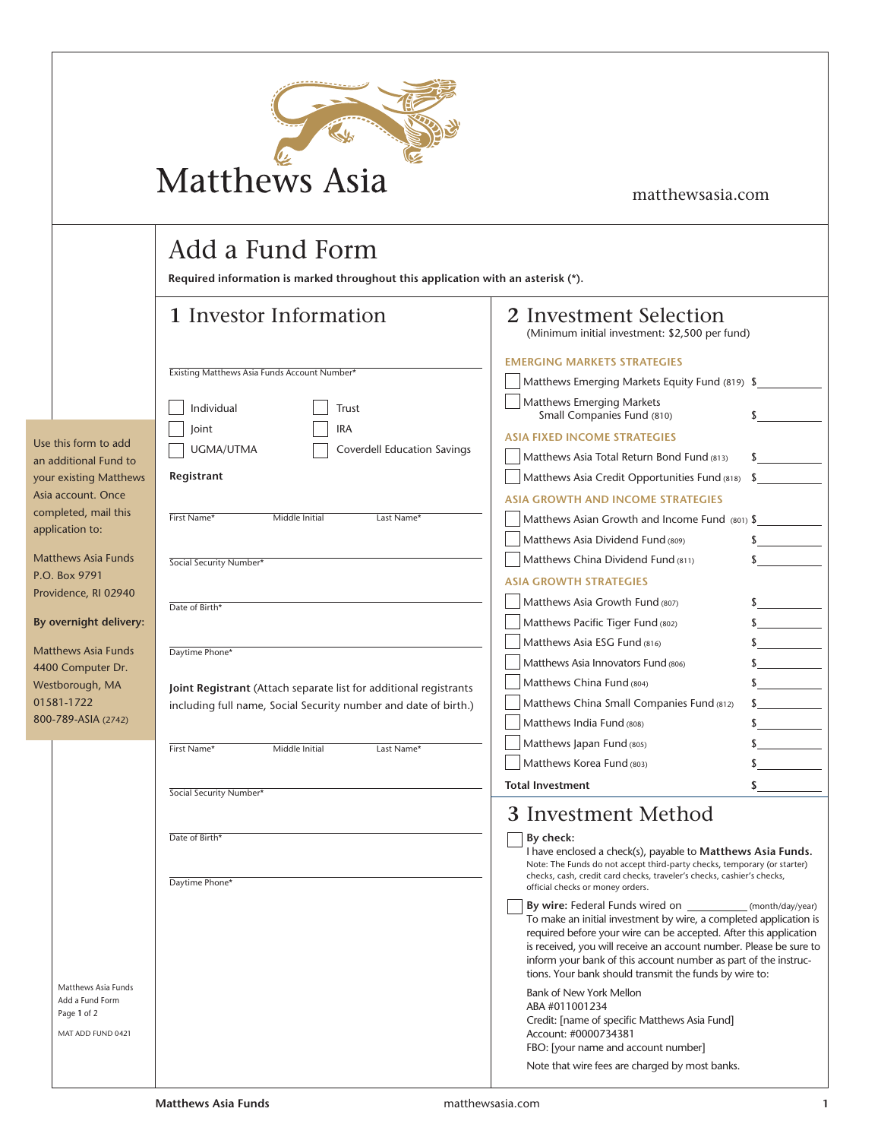| <b>Matthews Asia</b> |  |
|----------------------|--|

## matthewsasia.com

## Add a Fund Form

**Required information is marked throughout this application with an asterisk (\*).**

|                                                                                                                                          | 1 Investor Information                                                                                                                                 | 2 Investment Selection<br>(Minimum initial investment: \$2,500 per fund)                                                                                                                                                                                                                                                                                                                                          |
|------------------------------------------------------------------------------------------------------------------------------------------|--------------------------------------------------------------------------------------------------------------------------------------------------------|-------------------------------------------------------------------------------------------------------------------------------------------------------------------------------------------------------------------------------------------------------------------------------------------------------------------------------------------------------------------------------------------------------------------|
|                                                                                                                                          | Existing Matthews Asia Funds Account Number*<br>Individual<br>Trust                                                                                    | <b>EMERGING MARKETS STRATEGIES</b><br>Matthews Emerging Markets Equity Fund (819) \$<br>Matthews Emerging Markets<br>Small Companies Fund (810)<br>$\sim$                                                                                                                                                                                                                                                         |
| Use this form to add<br>an additional Fund to<br>your existing Matthews<br>Asia account. Once<br>completed, mail this<br>application to: | IRA<br>Joint<br>UGMA/UTMA<br>Coverdell Education Savings<br>Registrant<br>First Name*<br>Middle Initial<br>Last Name*                                  | <b>ASIA FIXED INCOME STRATEGIES</b><br>Matthews Asia Total Return Bond Fund (813)<br>$\sim$<br>Matthews Asia Credit Opportunities Fund (818)<br>$\sim$<br><b>ASIA GROWTH AND INCOME STRATEGIES</b><br>Matthews Asian Growth and Income Fund (801) \$                                                                                                                                                              |
| <b>Matthews Asia Funds</b><br>P.O. Box 9791<br>Providence, RI 02940<br>By overnight delivery:                                            | Social Security Number*<br>Date of Birth*                                                                                                              | $\frac{1}{2}$<br>Matthews Asia Dividend Fund (809)<br>Matthews China Dividend Fund (811)<br><b>ASIA GROWTH STRATEGIES</b><br>Matthews Asia Growth Fund (807)<br>$\sim$<br>$\frac{1}{2}$<br>Matthews Pacific Tiger Fund (802)                                                                                                                                                                                      |
| <b>Matthews Asia Funds</b><br>4400 Computer Dr.<br>Westborough, MA<br>01581-1722<br>800-789-ASIA (2742)                                  | Daytime Phone*<br>Joint Registrant (Attach separate list for additional registrants<br>including full name, Social Security number and date of birth.) | $\frac{1}{2}$<br>Matthews Asia ESG Fund (816)<br>$\frac{1}{2}$<br>Matthews Asia Innovators Fund (806)<br>$\frac{1}{2}$<br>Matthews China Fund (804)<br>Matthews China Small Companies Fund (812)<br>$\frac{1}{2}$<br>Matthews India Fund (808)<br>$\frac{1}{2}$                                                                                                                                                   |
|                                                                                                                                          | First Name*<br>Middle Initial<br>Last Name*<br>Social Security Number*                                                                                 | $\frac{1}{2}$<br>Matthews Japan Fund (805)<br>$\sim$<br>Matthews Korea Fund (803)<br>$\sim$<br><b>Total Investment</b>                                                                                                                                                                                                                                                                                            |
|                                                                                                                                          | Date of Birth*<br>Daytime Phone*                                                                                                                       | 3 Investment Method<br>By check:<br>I have enclosed a check(s), payable to <b>Matthews Asia Funds.</b><br>Note: The Funds do not accept third-party checks, temporary (or starter)<br>checks, cash, credit card checks, traveler's checks, cashier's checks,<br>official checks or money orders.                                                                                                                  |
|                                                                                                                                          |                                                                                                                                                        | <b>By wire:</b> Federal Funds wired on _____________(month/day/year)<br>To make an initial investment by wire, a completed application is<br>required before your wire can be accepted. After this application<br>is received, you will receive an account number. Please be sure to<br>inform your bank of this account number as part of the instruc-<br>tions. Your bank should transmit the funds by wire to: |
| Matthews Asia Funds<br>Add a Fund Form<br>Page 1 of 2<br>MAT ADD FUND 0421                                                               |                                                                                                                                                        | Bank of New York Mellon<br>ABA #011001234<br>Credit: [name of specific Matthews Asia Fund]<br>Account: #0000734381<br>FBO: [your name and account number]<br>Note that wire fees are charged by most banks.                                                                                                                                                                                                       |